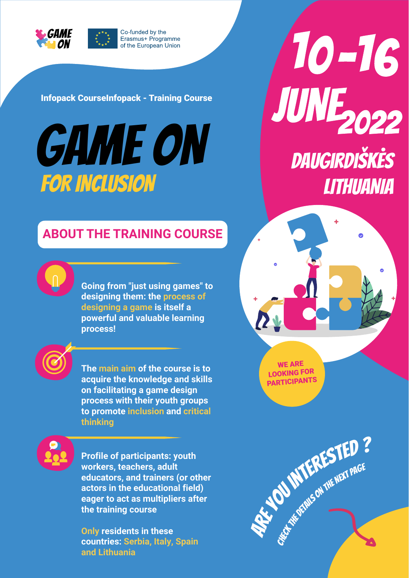

Infopack CourseInfopack - Training Course

# FOR INCLUSION LITHUANIA

10-16 Infopack CourseInfopack - Training Course<br>
CAME ON DAUGIRDIŠKĖS

**ABOUT THE TRAINING COURSE**

**Going from "just using games" to designing them: the process of designing a game is itself a powerful and valuable learning process!**

**The main aim of the course is to acquire the knowledge and skills on facilitating a game design process with their youth groups to promote inclusion and critical thinking**

**Profile of participants: youth workers, teachers, adult educators, and trainers (or other actors in the educational field) eager to act as multipliers after the training course**

**Only residents in these countries: Serbia, Italy, Spain and Lithuania**

WE ARE LOOKING FOR PARTICIPANTS

**Arty MTERESTED ?** CHECK THE DETAILS ON THE NEXT PAGE